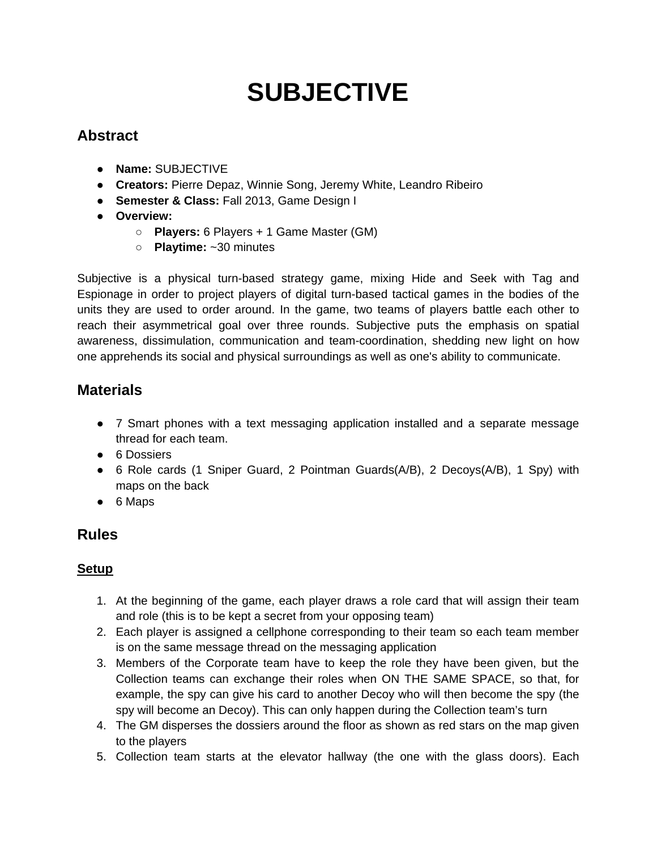# **SUBJECTIVE**

# **Abstract**

- **Name:** SUBJECTIVE
- **Creators:** Pierre Depaz, Winnie Song, Jeremy White, Leandro Ribeiro
- **Semester & Class:** Fall 2013, Game Design I
- **Overview:**
	- **Players:** 6 Players + 1 Game Master (GM)
	- **Playtime:** ~30 minutes

Subjective is a physical turn-based strategy game, mixing Hide and Seek with Tag and Espionage in order to project players of digital turn-based tactical games in the bodies of the units they are used to order around. In the game, two teams of players battle each other to reach their asymmetrical goal over three rounds. Subjective puts the emphasis on spatial awareness, dissimulation, communication and team-coordination, shedding new light on how one apprehends its social and physical surroundings as well as one's ability to communicate.

## **Materials**

- 7 Smart phones with a text messaging application installed and a separate message thread for each team.
- 6 Dossiers
- 6 Role cards (1 Sniper Guard, 2 Pointman Guards( $A/B$ ), 2 Decoys( $A/B$ ), 1 Spy) with maps on the back
- 6 Maps

## **Rules**

## **Setup**

- 1. At the beginning of the game, each player draws a role card that will assign their team and role (this is to be kept a secret from your opposing team)
- 2. Each player is assigned a cellphone corresponding to their team so each team member is on the same message thread on the messaging application
- 3. Members of the Corporate team have to keep the role they have been given, but the Collection teams can exchange their roles when ON THE SAME SPACE, so that, for example, the spy can give his card to another Decoy who will then become the spy (the spy will become an Decoy). This can only happen during the Collection team's turn
- 4. The GM disperses the dossiers around the floor as shown as red stars on the map given to the players
- 5. Collection team starts at the elevator hallway (the one with the glass doors). Each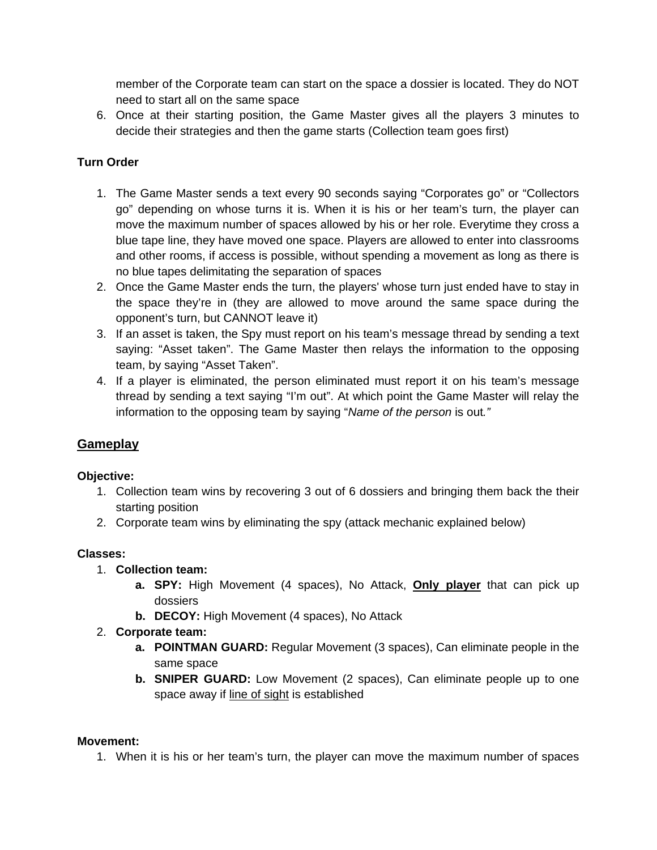member of the Corporate team can start on the space a dossier is located. They do NOT need to start all on the same space

6. Once at their starting position, the Game Master gives all the players 3 minutes to decide their strategies and then the game starts (Collection team goes first)

#### **Turn Order**

- 1. The Game Master sends a text every 90 seconds saying "Corporates go" or "Collectors go" depending on whose turns it is. When it is his or her team's turn, the player can move the maximum number of spaces allowed by his or her role. Everytime they cross a blue tape line, they have moved one space. Players are allowed to enter into classrooms and other rooms, if access is possible, without spending a movement as long as there is no blue tapes delimitating the separation of spaces
- 2. Once the Game Master ends the turn, the players' whose turn just ended have to stay in the space they're in (they are allowed to move around the same space during the opponent's turn, but CANNOT leave it)
- 3. If an asset is taken, the Spy must report on his team's message thread by sending a text saying: "Asset taken". The Game Master then relays the information to the opposing team, by saying "Asset Taken".
- 4. If a player is eliminated, the person eliminated must report it on his team's message thread by sending a text saying "I'm out". At which point the Game Master will relay the information to the opposing team by saying "*Name of the person* is out*."*

## **Gameplay**

#### **Objective:**

- 1. Collection team wins by recovering 3 out of 6 dossiers and bringing them back the their starting position
- 2. Corporate team wins by eliminating the spy (attack mechanic explained below)

#### **Classes:**

- 1. **Collection team:**
	- **a. SPY:** High Movement (4 spaces), No Attack, **Only player** that can pick up dossiers
	- **b. DECOY:** High Movement (4 spaces), No Attack

#### 2. **Corporate team:**

- **a. POINTMAN GUARD:** Regular Movement (3 spaces), Can eliminate people in the same space
- **b. SNIPER GUARD:** Low Movement (2 spaces), Can eliminate people up to one space away if line of sight is established

#### **Movement:**

1. When it is his or her team's turn, the player can move the maximum number of spaces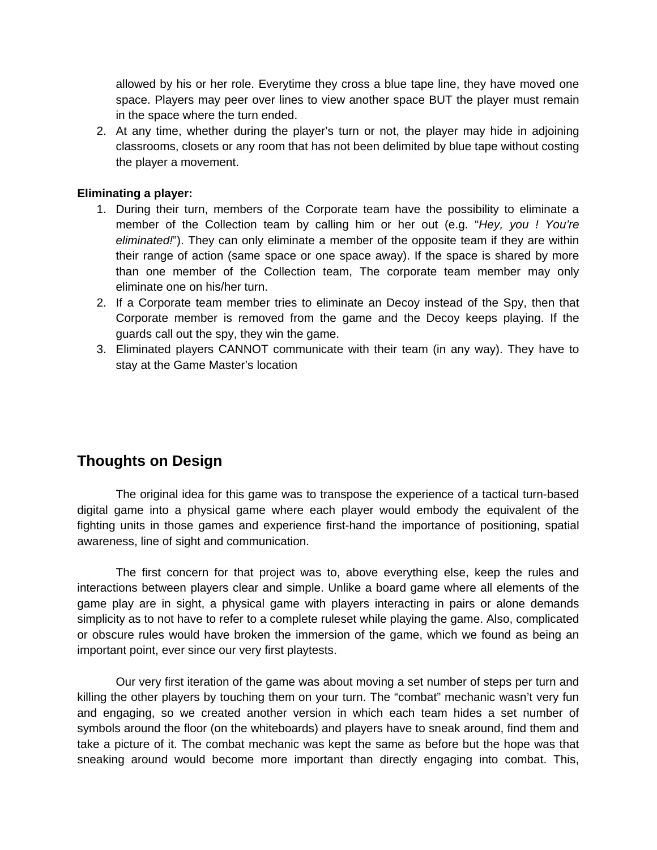allowed by his or her role. Everytime they cross a blue tape line, they have moved one space. Players may peer over lines to view another space BUT the player must remain in the space where the turn ended.

2. At any time, whether during the player's turn or not, the player may hide in adjoining classrooms, closets or any room that has not been delimited by blue tape without costing the player a movement.

#### **Eliminating a player:**

- 1. During their turn, members of the Corporate team have the possibility to eliminate a member of the Collection team by calling him or her out (e.g. "*Hey, you ! You're eliminated!*"). They can only eliminate a member of the opposite team if they are within their range of action (same space or one space away). If the space is shared by more than one member of the Collection team, The corporate team member may only eliminate one on his/her turn.
- 2. If a Corporate team member tries to eliminate an Decoy instead of the Spy, then that Corporate member is removed from the game and the Decoy keeps playing. If the guards call out the spy, they win the game.
- 3. Eliminated players CANNOT communicate with their team (in any way). They have to stay at the Game Master's location

## **Thoughts on Design**

The original idea for this game was to transpose the experience of a tactical turn-based digital game into a physical game where each player would embody the equivalent of the fighting units in those games and experience first-hand the importance of positioning, spatial awareness, line of sight and communication.

The first concern for that project was to, above everything else, keep the rules and interactions between players clear and simple. Unlike a board game where all elements of the game play are in sight, a physical game with players interacting in pairs or alone demands simplicity as to not have to refer to a complete ruleset while playing the game. Also, complicated or obscure rules would have broken the immersion of the game, which we found as being an important point, ever since our very first playtests.

Our very first iteration of the game was about moving a set number of steps per turn and killing the other players by touching them on your turn. The "combat" mechanic wasn't very fun and engaging, so we created another version in which each team hides a set number of symbols around the floor (on the whiteboards) and players have to sneak around, find them and take a picture of it. The combat mechanic was kept the same as before but the hope was that sneaking around would become more important than directly engaging into combat. This,